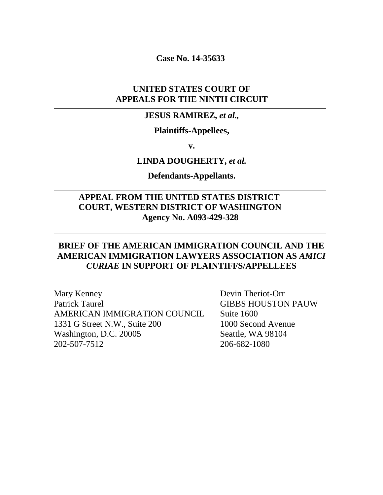**Case No. 14-35633**

## **UNITED STATES COURT OF APPEALS FOR THE NINTH CIRCUIT**

#### **JESUS RAMIREZ,** *et al.,*

### **Plaintiffs-Appellees,**

**v.**

#### **LINDA DOUGHERTY,** *et al.*

**Defendants-Appellants.**

### **APPEAL FROM THE UNITED STATES DISTRICT COURT, WESTERN DISTRICT OF WASHINGTON Agency No. A093-429-328**

### **BRIEF OF THE AMERICAN IMMIGRATION COUNCIL AND THE AMERICAN IMMIGRATION LAWYERS ASSOCIATION AS** *AMICI CURIAE* **IN SUPPORT OF PLAINTIFFS/APPELLEES**

Mary Kenney Devin Theriot-Orr Patrick Taurel GIBBS HOUSTON PAUW AMERICAN IMMIGRATION COUNCIL Suite 1600 1331 G Street N.W., Suite 200 1000 Second Avenue Washington, D.C. 20005 Seattle, WA 98104 202-507-7512 206-682-1080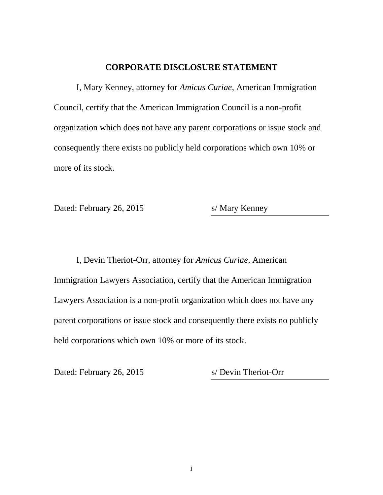### **CORPORATE DISCLOSURE STATEMENT**

I, Mary Kenney, attorney for *Amicus Curiae*, American Immigration Council, certify that the American Immigration Council is a non-profit organization which does not have any parent corporations or issue stock and consequently there exists no publicly held corporations which own 10% or more of its stock.

Dated: February 26, 2015 s/ Mary Kenney

I, Devin Theriot-Orr, attorney for *Amicus Curiae*, American Immigration Lawyers Association, certify that the American Immigration Lawyers Association is a non-profit organization which does not have any parent corporations or issue stock and consequently there exists no publicly held corporations which own 10% or more of its stock.

Dated: February 26, 2015 s/ Devin Theriot-Orr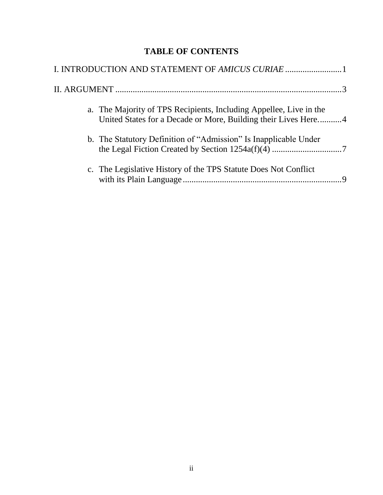# **TABLE OF CONTENTS**

| I. INTRODUCTION AND STATEMENT OF AMICUS CURIAE 1                                                                                     |  |
|--------------------------------------------------------------------------------------------------------------------------------------|--|
|                                                                                                                                      |  |
| a. The Majority of TPS Recipients, Including Appellee, Live in the<br>United States for a Decade or More, Building their Lives Here4 |  |
| b. The Statutory Definition of "Admission" Is Inapplicable Under                                                                     |  |
| c. The Legislative History of the TPS Statute Does Not Conflict                                                                      |  |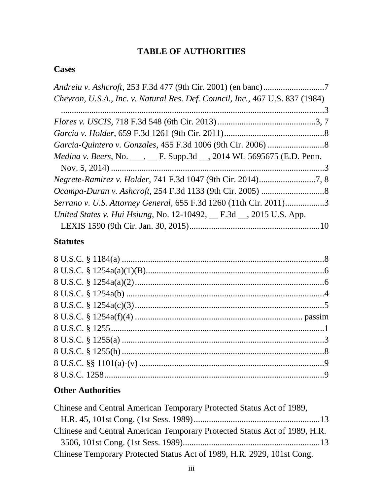# **TABLE OF AUTHORITIES**

# **Cases**

| Chevron, U.S.A., Inc. v. Natural Res. Def. Council, Inc., 467 U.S. 837 (1984)  |  |
|--------------------------------------------------------------------------------|--|
|                                                                                |  |
|                                                                                |  |
|                                                                                |  |
|                                                                                |  |
| <i>Medina v. Beers, No.</i> ___, __ F. Supp.3d __, 2014 WL 5695675 (E.D. Penn. |  |
|                                                                                |  |
|                                                                                |  |
|                                                                                |  |
| Serrano v. U.S. Attorney General, 655 F.3d 1260 (11th Cir. 2011)3              |  |
| United States v. Hui Hsiung, No. 12-10492, __ F.3d __, 2015 U.S. App.          |  |
|                                                                                |  |
| <b>Statutes</b>                                                                |  |
|                                                                                |  |
|                                                                                |  |
|                                                                                |  |

# **Other Authorities**

| Chinese and Central American Temporary Protected Status Act of 1989,      |  |
|---------------------------------------------------------------------------|--|
|                                                                           |  |
| Chinese and Central American Temporary Protected Status Act of 1989, H.R. |  |
|                                                                           |  |
| Chinese Temporary Protected Status Act of 1989, H.R. 2929, 101st Cong.    |  |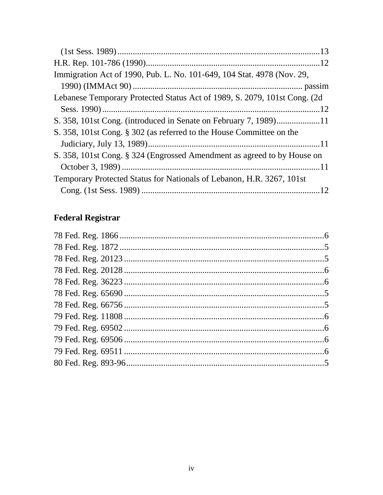| Immigration Act of 1990, Pub. L. No. 101-649, 104 Stat. 4978 (Nov. 29,     |  |
|----------------------------------------------------------------------------|--|
|                                                                            |  |
| Lebanese Temporary Protected Status Act of 1989, S. 2079, 101st Cong. (2d) |  |
|                                                                            |  |
|                                                                            |  |
| S. 358, 101st Cong. § 302 (as referred to the House Committee on the       |  |
|                                                                            |  |
| S. 358, 101st Cong. § 324 (Engrossed Amendment as agreed to by House on    |  |
|                                                                            |  |
| Temporary Protected Status for Nationals of Lebanon, H.R. 3267, 101st      |  |
|                                                                            |  |

# **Federal Registrar**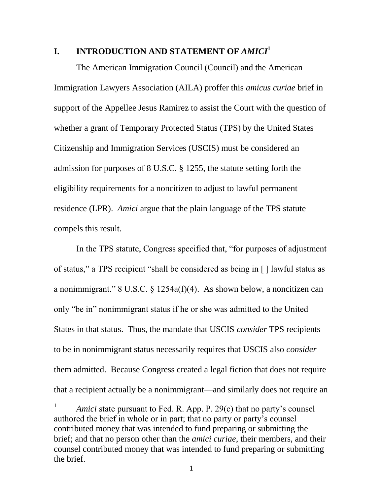### **I.** INTRODUCTION AND STATEMENT OF *AMICI*<sup>1</sup>

The American Immigration Council (Council) and the American Immigration Lawyers Association (AILA) proffer this *amicus curiae* brief in support of the Appellee Jesus Ramirez to assist the Court with the question of whether a grant of Temporary Protected Status (TPS) by the United States Citizenship and Immigration Services (USCIS) must be considered an admission for purposes of 8 U.S.C. § 1255, the statute setting forth the eligibility requirements for a noncitizen to adjust to lawful permanent residence (LPR). *Amici* argue that the plain language of the TPS statute compels this result.

In the TPS statute, Congress specified that, "for purposes of adjustment of status," a TPS recipient "shall be considered as being in [ ] lawful status as a nonimmigrant." 8 U.S.C. § 1254a(f)(4). As shown below, a noncitizen can only "be in" nonimmigrant status if he or she was admitted to the United States in that status. Thus, the mandate that USCIS *consider* TPS recipients to be in nonimmigrant status necessarily requires that USCIS also *consider* them admitted. Because Congress created a legal fiction that does not require that a recipient actually be a nonimmigrant—and similarly does not require an

 $\overline{a}$ 

<sup>1</sup> *Amici* state pursuant to Fed. R. App. P. 29(c) that no party's counsel authored the brief in whole or in part; that no party or party's counsel contributed money that was intended to fund preparing or submitting the brief; and that no person other than the *amici curiae*, their members, and their counsel contributed money that was intended to fund preparing or submitting the brief.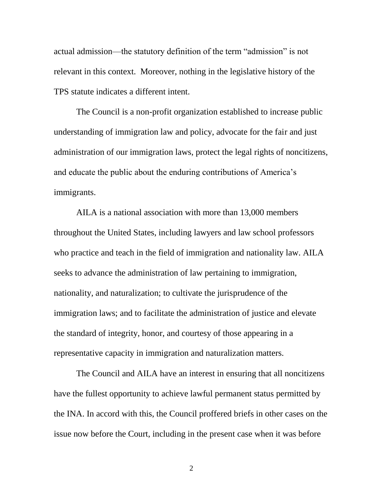actual admission—the statutory definition of the term "admission" is not relevant in this context. Moreover, nothing in the legislative history of the TPS statute indicates a different intent.

The Council is a non-profit organization established to increase public understanding of immigration law and policy, advocate for the fair and just administration of our immigration laws, protect the legal rights of noncitizens, and educate the public about the enduring contributions of America's immigrants.

AILA is a national association with more than 13,000 members throughout the United States, including lawyers and law school professors who practice and teach in the field of immigration and nationality law. AILA seeks to advance the administration of law pertaining to immigration, nationality, and naturalization; to cultivate the jurisprudence of the immigration laws; and to facilitate the administration of justice and elevate the standard of integrity, honor, and courtesy of those appearing in a representative capacity in immigration and naturalization matters.

The Council and AILA have an interest in ensuring that all noncitizens have the fullest opportunity to achieve lawful permanent status permitted by the INA. In accord with this, the Council proffered briefs in other cases on the issue now before the Court, including in the present case when it was before

2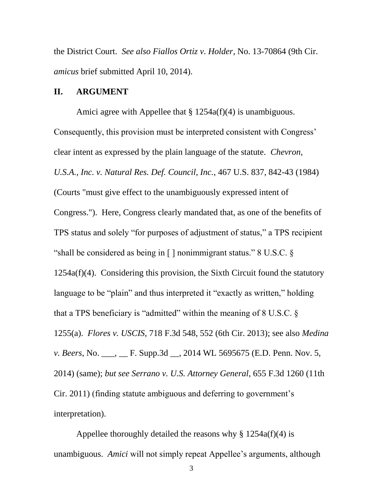the District Court. *See also Fiallos Ortiz v. Holder*, No. 13-70864 (9th Cir. *amicus* brief submitted April 10, 2014).

#### **II. ARGUMENT**

Amici agree with Appellee that  $\S 1254a(f)(4)$  is unambiguous. Consequently, this provision must be interpreted consistent with Congress' clear intent as expressed by the plain language of the statute. *Chevron, U.S.A., Inc. v. Natural Res. Def. Council, Inc.*, 467 U.S. 837, 842-43 (1984) (Courts "must give effect to the unambiguously expressed intent of Congress."). Here, Congress clearly mandated that, as one of the benefits of TPS status and solely "for purposes of adjustment of status," a TPS recipient "shall be considered as being in [ ] nonimmigrant status." 8 U.S.C. § 1254a(f)(4). Considering this provision, the Sixth Circuit found the statutory language to be "plain" and thus interpreted it "exactly as written," holding that a TPS beneficiary is "admitted" within the meaning of 8 U.S.C. § 1255(a). *Flores v. USCIS*, 718 F.3d 548, 552 (6th Cir. 2013); see also *Medina v. Beers*, No. \_\_\_, \_\_ F. Supp.3d \_\_, 2014 WL 5695675 (E.D. Penn. Nov. 5, 2014) (same); *but see Serrano v. U.S. Attorney General*, 655 F.3d 1260 (11th Cir. 2011) (finding statute ambiguous and deferring to government's interpretation).

Appellee thoroughly detailed the reasons why  $\S 1254a(f)(4)$  is unambiguous. *Amici* will not simply repeat Appellee's arguments, although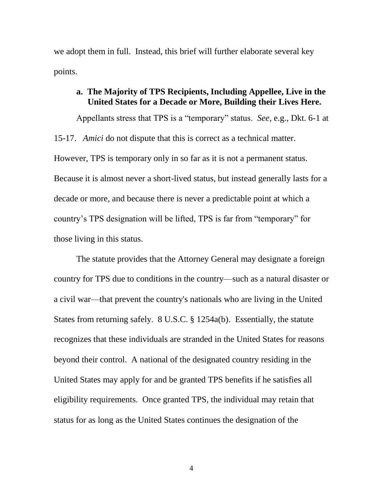we adopt them in full. Instead, this brief will further elaborate several key points.

### **a. The Majority of TPS Recipients, Including Appellee, Live in the United States for a Decade or More, Building their Lives Here.**

Appellants stress that TPS is a "temporary" status. *See*, e.g., Dkt. 6-1 at 15-17. *Amici* do not dispute that this is correct as a technical matter. However, TPS is temporary only in so far as it is not a permanent status. Because it is almost never a short-lived status, but instead generally lasts for a decade or more, and because there is never a predictable point at which a country's TPS designation will be lifted, TPS is far from "temporary" for those living in this status.

The statute provides that the Attorney General may designate a foreign country for TPS due to conditions in the country—such as a natural disaster or a civil war—that prevent the country's nationals who are living in the United States from returning safely. 8 U.S.C. § 1254a(b). Essentially, the statute recognizes that these individuals are stranded in the United States for reasons beyond their control. A national of the designated country residing in the United States may apply for and be granted TPS benefits if he satisfies all eligibility requirements. Once granted TPS, the individual may retain that status for as long as the United States continues the designation of the

4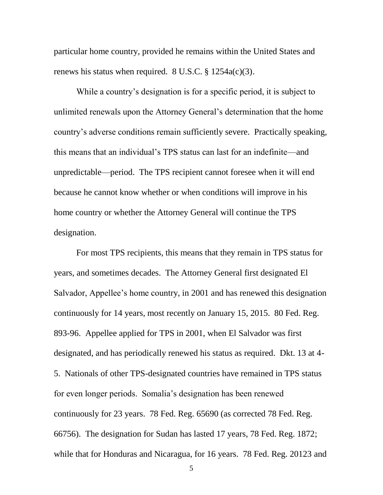particular home country, provided he remains within the United States and renews his status when required.  $8 \text{ U.S.C.} \$   $1254a(c)(3)$ .

While a country's designation is for a specific period, it is subject to unlimited renewals upon the Attorney General's determination that the home country's adverse conditions remain sufficiently severe. Practically speaking, this means that an individual's TPS status can last for an indefinite—and unpredictable—period. The TPS recipient cannot foresee when it will end because he cannot know whether or when conditions will improve in his home country or whether the Attorney General will continue the TPS designation.

For most TPS recipients, this means that they remain in TPS status for years, and sometimes decades. The Attorney General first designated El Salvador, Appellee's home country, in 2001 and has renewed this designation continuously for 14 years, most recently on January 15, 2015. 80 Fed. Reg. 893-96. Appellee applied for TPS in 2001, when El Salvador was first designated, and has periodically renewed his status as required. Dkt. 13 at 4- 5. Nationals of other TPS-designated countries have remained in TPS status for even longer periods. Somalia's designation has been renewed continuously for 23 years. 78 Fed. Reg. 65690 (as corrected 78 Fed. Reg. 66756). The designation for Sudan has lasted 17 years, 78 Fed. Reg. 1872; while that for Honduras and Nicaragua, for 16 years. 78 Fed. Reg. 20123 and

5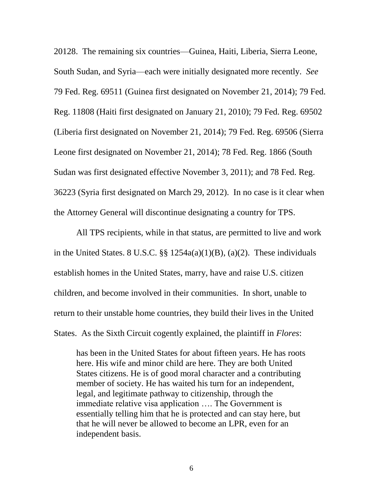20128. The remaining six countries—Guinea, Haiti, Liberia, Sierra Leone, South Sudan, and Syria—each were initially designated more recently. *See*  79 Fed. Reg. 69511 (Guinea first designated on November 21, 2014); 79 Fed. Reg. 11808 (Haiti first designated on January 21, 2010); 79 Fed. Reg. 69502 (Liberia first designated on November 21, 2014); 79 Fed. Reg. 69506 (Sierra Leone first designated on November 21, 2014); 78 Fed. Reg. 1866 (South Sudan was first designated effective November 3, 2011); and 78 Fed. Reg. 36223 (Syria first designated on March 29, 2012). In no case is it clear when the Attorney General will discontinue designating a country for TPS.

All TPS recipients, while in that status, are permitted to live and work in the United States. 8 U.S.C. §§ 1254a(a)(1)(B), (a)(2). These individuals establish homes in the United States, marry, have and raise U.S. citizen children, and become involved in their communities. In short, unable to return to their unstable home countries, they build their lives in the United States. As the Sixth Circuit cogently explained, the plaintiff in *Flores*:

has been in the United States for about fifteen years. He has roots here. His wife and minor child are here. They are both United States citizens. He is of good moral character and a contributing member of society. He has waited his turn for an independent, legal, and legitimate pathway to citizenship, through the immediate relative visa application …. The Government is essentially telling him that he is protected and can stay here, but that he will never be allowed to become an LPR, even for an independent basis.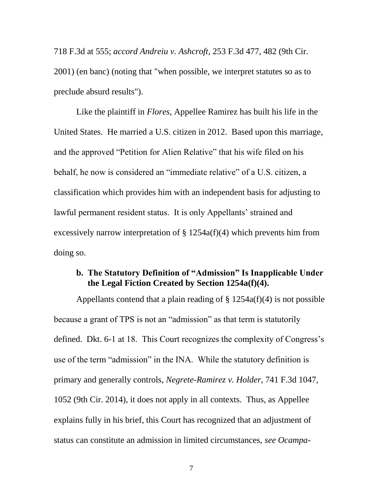718 F.3d at 555; *accord Andreiu v. Ashcroft*, 253 F.3d 477, 482 (9th Cir. 2001) (en banc) (noting that "when possible, we interpret statutes so as to preclude absurd results").

Like the plaintiff in *Flores*, Appellee Ramirez has built his life in the United States. He married a U.S. citizen in 2012. Based upon this marriage, and the approved "Petition for Alien Relative" that his wife filed on his behalf, he now is considered an "immediate relative" of a U.S. citizen, a classification which provides him with an independent basis for adjusting to lawful permanent resident status. It is only Appellants' strained and excessively narrow interpretation of  $\S 1254a(f)(4)$  which prevents him from doing so.

## **b. The Statutory Definition of "Admission" Is Inapplicable Under the Legal Fiction Created by Section 1254a(f)(4).**

Appellants contend that a plain reading of  $\S 1254a(f)(4)$  is not possible because a grant of TPS is not an "admission" as that term is statutorily defined. Dkt. 6-1 at 18. This Court recognizes the complexity of Congress's use of the term "admission" in the INA. While the statutory definition is primary and generally controls, *Negrete-Ramirez v. Holder*, 741 F.3d 1047, 1052 (9th Cir. 2014), it does not apply in all contexts. Thus, as Appellee explains fully in his brief, this Court has recognized that an adjustment of status can constitute an admission in limited circumstances, *see Ocampa-*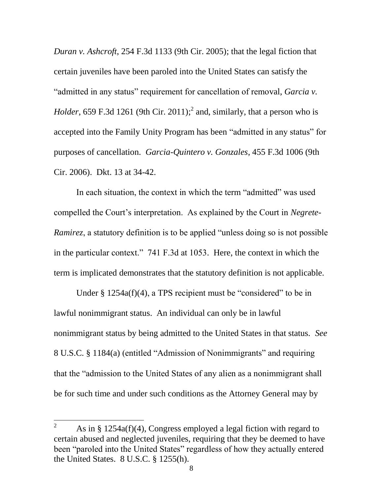*Duran v. Ashcroft*, 254 F.3d 1133 (9th Cir. 2005); that the legal fiction that certain juveniles have been paroled into the United States can satisfy the "admitted in any status" requirement for cancellation of removal, *Garcia v. Holder*, 659 F.3d 1261 (9th Cir. 2011);<sup>2</sup> and, similarly, that a person who is accepted into the Family Unity Program has been "admitted in any status" for purposes of cancellation. *Garcia-Quintero v. Gonzales*, 455 F.3d 1006 (9th Cir. 2006). Dkt. 13 at 34-42.

In each situation, the context in which the term "admitted" was used compelled the Court's interpretation. As explained by the Court in *Negrete-Ramirez*, a statutory definition is to be applied "unless doing so is not possible" in the particular context." 741 F.3d at 1053. Here, the context in which the term is implicated demonstrates that the statutory definition is not applicable.

Under § 1254a(f)(4), a TPS recipient must be "considered" to be in lawful nonimmigrant status. An individual can only be in lawful nonimmigrant status by being admitted to the United States in that status. *See* 8 U.S.C. § 1184(a) (entitled "Admission of Nonimmigrants" and requiring that the "admission to the United States of any alien as a nonimmigrant shall be for such time and under such conditions as the Attorney General may by

 $\overline{2}$ As in  $\S$  1254a(f)(4), Congress employed a legal fiction with regard to certain abused and neglected juveniles, requiring that they be deemed to have been "paroled into the United States" regardless of how they actually entered the United States. 8 U.S.C. § 1255(h).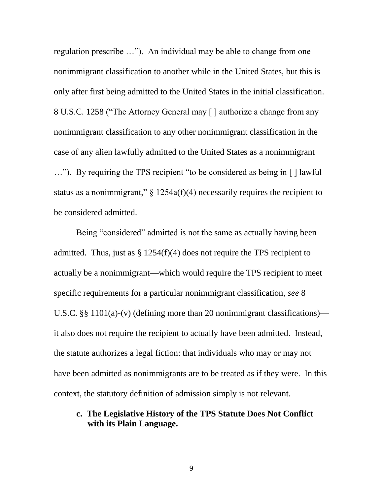regulation prescribe …"). An individual may be able to change from one nonimmigrant classification to another while in the United States, but this is only after first being admitted to the United States in the initial classification. 8 U.S.C. 1258 ("The Attorney General may [ ] authorize a change from any nonimmigrant classification to any other nonimmigrant classification in the case of any alien lawfully admitted to the United States as a nonimmigrant …"). By requiring the TPS recipient "to be considered as being in [ ] lawful status as a nonimmigrant,"  $\S$  1254a(f)(4) necessarily requires the recipient to be considered admitted.

Being "considered" admitted is not the same as actually having been admitted. Thus, just as  $\S 1254(f)(4)$  does not require the TPS recipient to actually be a nonimmigrant—which would require the TPS recipient to meet specific requirements for a particular nonimmigrant classification, *see* 8 U.S.C. §§ 1101(a)-(v) (defining more than 20 nonimmigrant classifications) it also does not require the recipient to actually have been admitted. Instead, the statute authorizes a legal fiction: that individuals who may or may not have been admitted as nonimmigrants are to be treated as if they were. In this context, the statutory definition of admission simply is not relevant.

### **c. The Legislative History of the TPS Statute Does Not Conflict with its Plain Language.**

9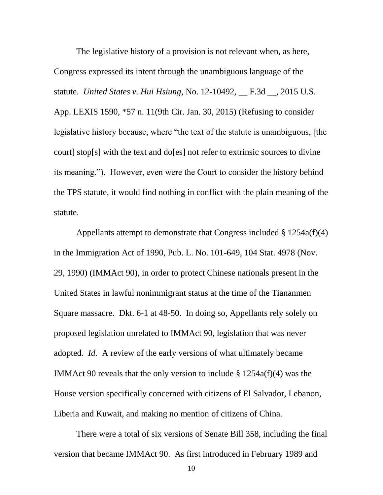The legislative history of a provision is not relevant when, as here, Congress expressed its intent through the unambiguous language of the statute. *United States v. Hui Hsiung*, No. 12-10492, \_\_ F.3d \_\_, 2015 U.S. App. LEXIS 1590, \*57 n. 11(9th Cir. Jan. 30, 2015) (Refusing to consider legislative history because, where "the text of the statute is unambiguous, [the court] stop[s] with the text and do[es] not refer to extrinsic sources to divine its meaning."). However, even were the Court to consider the history behind the TPS statute, it would find nothing in conflict with the plain meaning of the statute.

Appellants attempt to demonstrate that Congress included § 1254a(f)(4) in the Immigration Act of 1990, Pub. L. No. 101-649, 104 Stat. 4978 (Nov. 29, 1990) (IMMAct 90), in order to protect Chinese nationals present in the United States in lawful nonimmigrant status at the time of the Tiananmen Square massacre. Dkt. 6-1 at 48-50. In doing so, Appellants rely solely on proposed legislation unrelated to IMMAct 90, legislation that was never adopted. *Id.* A review of the early versions of what ultimately became IMMAct 90 reveals that the only version to include  $\S 1254a(f)(4)$  was the House version specifically concerned with citizens of El Salvador, Lebanon, Liberia and Kuwait, and making no mention of citizens of China.

There were a total of six versions of Senate Bill 358, including the final version that became IMMAct 90. As first introduced in February 1989 and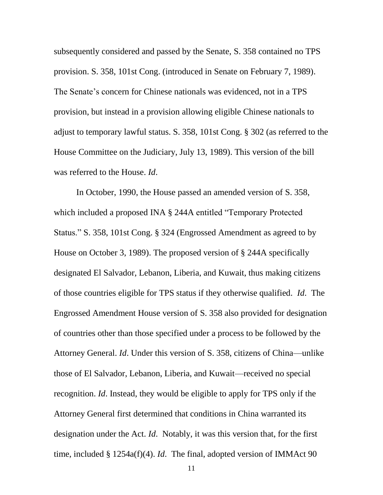subsequently considered and passed by the Senate, S. 358 contained no TPS provision. S. 358, 101st Cong. (introduced in Senate on February 7, 1989). The Senate's concern for Chinese nationals was evidenced, not in a TPS provision, but instead in a provision allowing eligible Chinese nationals to adjust to temporary lawful status. S. 358, 101st Cong. § 302 (as referred to the House Committee on the Judiciary, July 13, 1989). This version of the bill was referred to the House. *Id*.

In October, 1990, the House passed an amended version of S. 358, which included a proposed INA § 244A entitled "Temporary Protected Status." S. 358, 101st Cong. § 324 (Engrossed Amendment as agreed to by House on October 3, 1989). The proposed version of § 244A specifically designated El Salvador, Lebanon, Liberia, and Kuwait, thus making citizens of those countries eligible for TPS status if they otherwise qualified. *Id*. The Engrossed Amendment House version of S. 358 also provided for designation of countries other than those specified under a process to be followed by the Attorney General. *Id*. Under this version of S. 358, citizens of China—unlike those of El Salvador, Lebanon, Liberia, and Kuwait—received no special recognition. *Id*. Instead, they would be eligible to apply for TPS only if the Attorney General first determined that conditions in China warranted its designation under the Act. *Id*. Notably, it was this version that, for the first time, included § 1254a(f)(4). *Id*. The final, adopted version of IMMAct 90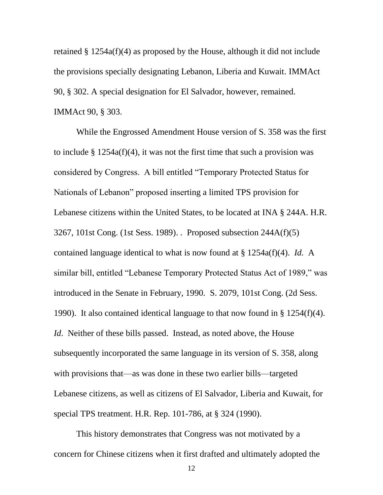retained § 1254a(f)(4) as proposed by the House, although it did not include the provisions specially designating Lebanon, Liberia and Kuwait. IMMAct 90, § 302. A special designation for El Salvador, however, remained. IMMAct 90, § 303.

While the Engrossed Amendment House version of S. 358 was the first to include § 1254a(f)(4), it was not the first time that such a provision was considered by Congress. A bill entitled "Temporary Protected Status for Nationals of Lebanon" proposed inserting a limited TPS provision for Lebanese citizens within the United States, to be located at INA § 244A. H.R. 3267, 101st Cong. (1st Sess. 1989). . Proposed subsection 244A(f)(5) contained language identical to what is now found at § 1254a(f)(4). *Id.* A similar bill, entitled "Lebanese Temporary Protected Status Act of 1989," was introduced in the Senate in February, 1990. S. 2079, 101st Cong. (2d Sess. 1990). It also contained identical language to that now found in § 1254(f)(4). *Id.* Neither of these bills passed. Instead, as noted above, the House subsequently incorporated the same language in its version of S. 358, along with provisions that—as was done in these two earlier bills—targeted Lebanese citizens, as well as citizens of El Salvador, Liberia and Kuwait, for special TPS treatment. H.R. Rep. 101-786, at § 324 (1990).

This history demonstrates that Congress was not motivated by a concern for Chinese citizens when it first drafted and ultimately adopted the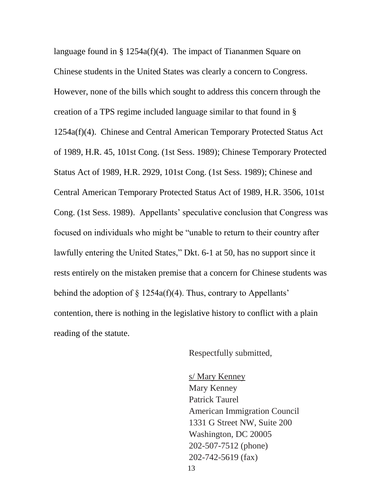language found in § 1254a(f)(4). The impact of Tiananmen Square on Chinese students in the United States was clearly a concern to Congress. However, none of the bills which sought to address this concern through the creation of a TPS regime included language similar to that found in § 1254a(f)(4). Chinese and Central American Temporary Protected Status Act of 1989, H.R. 45, 101st Cong. (1st Sess. 1989); Chinese Temporary Protected Status Act of 1989, H.R. 2929, 101st Cong. (1st Sess. 1989); Chinese and Central American Temporary Protected Status Act of 1989, H.R. 3506, 101st Cong. (1st Sess. 1989). Appellants' speculative conclusion that Congress was focused on individuals who might be "unable to return to their country after lawfully entering the United States," Dkt. 6-1 at 50, has no support since it rests entirely on the mistaken premise that a concern for Chinese students was behind the adoption of  $\S$  1254a(f)(4). Thus, contrary to Appellants' contention, there is nothing in the legislative history to conflict with a plain reading of the statute.

Respectfully submitted,

13 s/ Mary Kenney Mary Kenney Patrick Taurel American Immigration Council 1331 G Street NW, Suite 200 Washington, DC 20005 202-507-7512 (phone) 202-742-5619 (fax)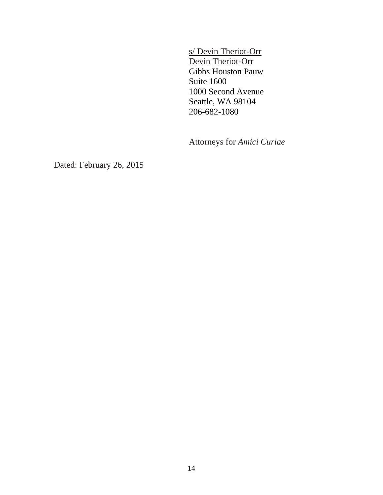s/ Devin Theriot-Orr Devin Theriot-Orr Gibbs Houston Pauw Suite 1600 1000 Second Avenue Seattle, WA 98104 206-682-1080

Attorneys for *Amici Curiae*

Dated: February 26, 2015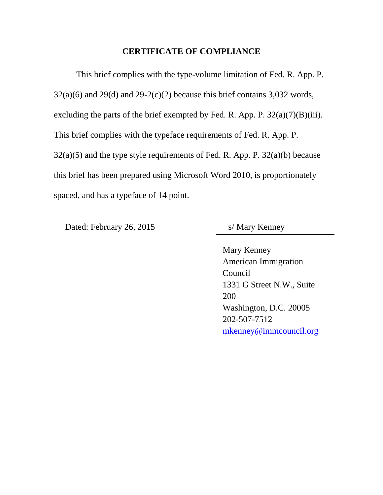### **CERTIFICATE OF COMPLIANCE**

This brief complies with the type-volume limitation of Fed. R. App. P.  $32(a)(6)$  and  $29(d)$  and  $29-2(c)(2)$  because this brief contains 3,032 words, excluding the parts of the brief exempted by Fed. R. App. P.  $32(a)(7)(B)(iii)$ . This brief complies with the typeface requirements of Fed. R. App. P. 32(a)(5) and the type style requirements of Fed. R. App. P. 32(a)(b) because this brief has been prepared using Microsoft Word 2010, is proportionately spaced, and has a typeface of 14 point.

Dated: February 26, 2015 s/ Mary Kenney

Mary Kenney American Immigration Council 1331 G Street N.W., Suite 200 Washington, D.C. 20005 202-507-7512 [mkenney@immcouncil.org](mailto:mkenney@immcouncil.org)